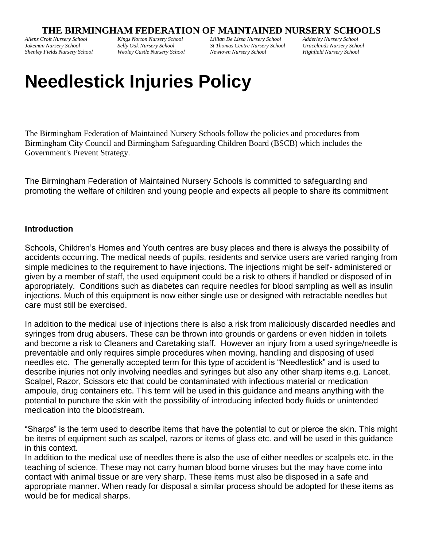## **THE BIRMINGHAM FEDERATION OF MAINTAINED NURSERY SCHOOLS**

*Allens Croft Nursery School Jakeman Nursery School Shenley Fields Nursery School* *Kings Norton Nursery School Selly Oak Nursery School Weoley Castle Nursery School* *Lillian De Lissa Nursery School St Thomas Centre Nursery School Newtown Nursery School*

*Adderley Nursery School Gracelands Nursery School Highfield Nursery School*

# **Needlestick Injuries Policy**

The Birmingham Federation of Maintained Nursery Schools follow the policies and procedures from Birmingham City Council and Birmingham Safeguarding Children Board (BSCB) which includes the Government's Prevent Strategy.

The Birmingham Federation of Maintained Nursery Schools is committed to safeguarding and promoting the welfare of children and young people and expects all people to share its commitment

#### **Introduction**

Schools, Children's Homes and Youth centres are busy places and there is always the possibility of accidents occurring. The medical needs of pupils, residents and service users are varied ranging from simple medicines to the requirement to have injections. The injections might be self- administered or given by a member of staff, the used equipment could be a risk to others if handled or disposed of in appropriately. Conditions such as diabetes can require needles for blood sampling as well as insulin injections. Much of this equipment is now either single use or designed with retractable needles but care must still be exercised.

In addition to the medical use of injections there is also a risk from maliciously discarded needles and syringes from drug abusers. These can be thrown into grounds or gardens or even hidden in toilets and become a risk to Cleaners and Caretaking staff. However an injury from a used syringe/needle is preventable and only requires simple procedures when moving, handling and disposing of used needles etc. The generally accepted term for this type of accident is "Needlestick" and is used to describe injuries not only involving needles and syringes but also any other sharp items e.g. Lancet, Scalpel, Razor, Scissors etc that could be contaminated with infectious material or medication ampoule, drug containers etc. This term will be used in this guidance and means anything with the potential to puncture the skin with the possibility of introducing infected body fluids or unintended medication into the bloodstream.

"Sharps" is the term used to describe items that have the potential to cut or pierce the skin. This might be items of equipment such as scalpel, razors or items of glass etc. and will be used in this guidance in this context.

In addition to the medical use of needles there is also the use of either needles or scalpels etc. in the teaching of science. These may not carry human blood borne viruses but the may have come into contact with animal tissue or are very sharp. These items must also be disposed in a safe and appropriate manner. When ready for disposal a similar process should be adopted for these items as would be for medical sharps.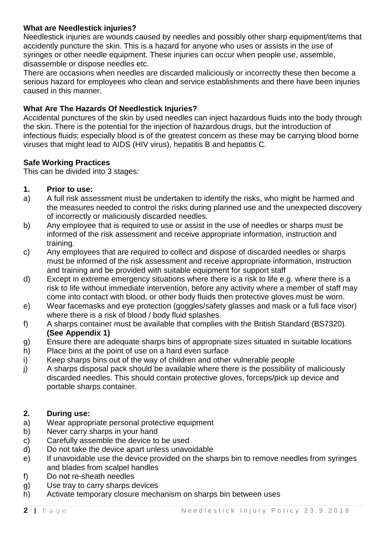## **What are Needlestick injuries?**

Needlestick injuries are wounds caused by needles and possibly other sharp equipment/items that accidently puncture the skin. This is a hazard for anyone who uses or assists in the use of syringes or other needle equipment. These injuries can occur when people use, assemble, disassemble or dispose needles etc.

There are occasions when needles are discarded maliciously or incorrectly these then become a serious hazard for employees who clean and service establishments and there have been injuries caused in this manner.

## **What Are The Hazards Of Needlestick Injuries?**

Accidental punctures of the skin by used needles can inject hazardous fluids into the body through the skin. There is the potential for the injection of hazardous drugs, but the introduction of infectious fluids; especially blood is of the greatest concern as these may be carrying blood borne viruses that might lead to AIDS (HIV virus), hepatitis B and hepatitis C.

## **Safe Working Practices**

This can be divided into 3 stages:

- **1. Prior to use:**
- a) A full risk assessment must be undertaken to identify the risks, who might be harmed and the measures needed to control the risks during planned use and the unexpected discovery of incorrectly or maliciously discarded needles.
- b) Any employee that is required to use or assist in the use of needles or sharps must be informed of the risk assessment and receive appropriate information, instruction and training.
- c) Any employees that are required to collect and dispose of discarded needles or sharps must be informed of the risk assessment and receive appropriate information, instruction and training and be provided with suitable equipment for support staff
- d) Except in extreme emergency situations where there is a risk to life e.g. where there is a risk to life without immediate intervention, before any activity where a member of staff may come into contact with blood, or other body fluids then protective gloves must be worn.
- e) Wear facemasks and eye protection (goggles/safety glasses and mask or a full face visor) where there is a risk of blood / body fluid splashes.
- f) A sharps container must be available that complies with the British Standard (BS7320). **(See Appendix 1)**
- g) Ensure there are adequate sharps bins of appropriate sizes situated in suitable locations
- h) Place bins at the point of use on a hard even surface
- i) Keep sharps bins out of the way of children and other vulnerable people
- j) A sharps disposal pack should be available where there is the possibility of maliciously discarded needles. This should contain protective gloves, forceps/pick up device and portable sharps container.

#### **2. During use:**

- a) Wear appropriate personal protective equipment
- b) Never carry sharps in your hand
- c) Carefully assemble the device to be used
- d) Do not take the device apart unless unavoidable
- e) If unavoidable use the device provided on the sharps bin to remove needles from syringes and blades from scalpel handles
- f) Do not re-sheath needles
- g) Use tray to carry sharps devices
- h) Activate temporary closure mechanism on sharps bin between uses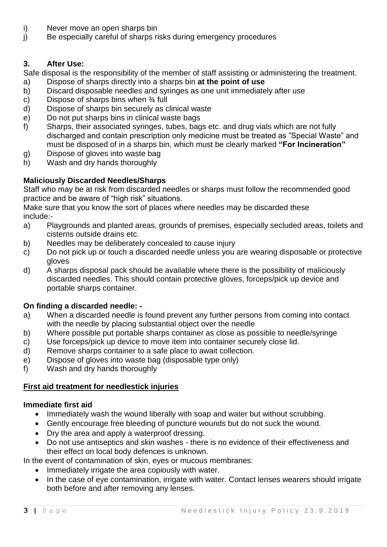- i) Never move an open sharps bin
- j) Be especially careful of sharps risks during emergency procedures

## **3. After Use:**

Safe disposal is the responsibility of the member of staff assisting or administering the treatment.

- a) Dispose of sharps directly into a sharps bin **at the point of use**
- b) Discard disposable needles and syringes as one unit immediately after use
- c) Dispose of sharps bins when  $\frac{3}{4}$  full
- d) Dispose of sharps bin securely as clinical waste
- e) Do not put sharps bins in clinical waste bags
- f) Sharps, their associated syringes, tubes, bags etc. and drug vials which are not fully discharged and contain prescription only medicine must be treated as "Special Waste" and must be disposed of in a sharps bin, which must be clearly marked **"For Incineration"**
- g) Dispose of gloves into waste bag
- h) Wash and dry hands thoroughly

## **Maliciously Discarded Needles/Sharps**

Staff who may be at risk from discarded needles or sharps must follow the recommended good practice and be aware of "high risk" situations.

Make sure that you know the sort of places where needles may be discarded these include:-

- a) Playgrounds and planted areas, grounds of premises, especially secluded areas, toilets and cisterns outside drains etc.
- b) Needles may be deliberately concealed to cause injury
- c) Do not pick up or touch a discarded needle unless you are wearing disposable or protective gloves
- d) A sharps disposal pack should be available where there is the possibility of maliciously discarded needles. This should contain protective gloves, forceps/pick up device and portable sharps container.

## **On finding a discarded needle: -**

- a) When a discarded needle is found prevent any further persons from coming into contact with the needle by placing substantial object over the needle
- b) Where possible put portable sharps container as close as possible to needle/syringe
- c) Use forceps/pick up device to move item into container securely close lid.
- d) Remove sharps container to a safe place to await collection.
- e) Dispose of gloves into waste bag (disposable type only)
- f) Wash and dry hands thoroughly

## **First aid treatment for needlestick injuries**

## **Immediate first aid**

- Immediately wash the wound liberally with soap and water but without scrubbing.
- Gently encourage free bleeding of puncture wounds but do not suck the wound.
- Dry the area and apply a waterproof dressing.
- Do not use antiseptics and skin washes there is no evidence of their effectiveness and their effect on local body defences is unknown.

In the event of contamination of skin, eyes or mucous membranes:

- Immediately irrigate the area copiously with water.
- In the case of eye contamination, irrigate with water. Contact lenses wearers should irrigate both before and after removing any lenses.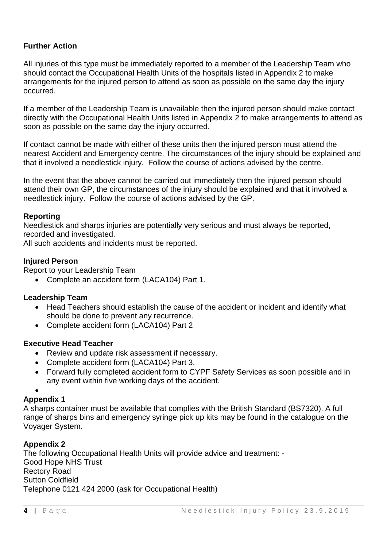## **Further Action**

All injuries of this type must be immediately reported to a member of the Leadership Team who should contact the Occupational Health Units of the hospitals listed in Appendix 2 to make arrangements for the injured person to attend as soon as possible on the same day the injury occurred.

If a member of the Leadership Team is unavailable then the injured person should make contact directly with the Occupational Health Units listed in Appendix 2 to make arrangements to attend as soon as possible on the same day the injury occurred.

If contact cannot be made with either of these units then the injured person must attend the nearest Accident and Emergency centre. The circumstances of the injury should be explained and that it involved a needlestick injury. Follow the course of actions advised by the centre.

In the event that the above cannot be carried out immediately then the injured person should attend their own GP, the circumstances of the injury should be explained and that it involved a needlestick injury. Follow the course of actions advised by the GP.

## **Reporting**

Needlestick and sharps injuries are potentially very serious and must always be reported, recorded and investigated.

All such accidents and incidents must be reported.

## **Injured Person**

Report to your Leadership Team

• Complete an accident form (LACA104) Part 1.

## **Leadership Team**

- Head Teachers should establish the cause of the accident or incident and identify what should be done to prevent any recurrence.
- Complete accident form (LACA104) Part 2

#### **Executive Head Teacher**

- Review and update risk assessment if necessary.
- Complete accident form (LACA104) Part 3.
- Forward fully completed accident form to CYPF Safety Services as soon possible and in any event within five working days of the accident.

## •

## **Appendix 1**

A sharps container must be available that complies with the British Standard (BS7320). A full range of sharps bins and emergency syringe pick up kits may be found in the catalogue on the Voyager System.

## **Appendix 2**

The following Occupational Health Units will provide advice and treatment: - Good Hope NHS Trust Rectory Road Sutton Coldfield Telephone 0121 424 2000 (ask for Occupational Health)